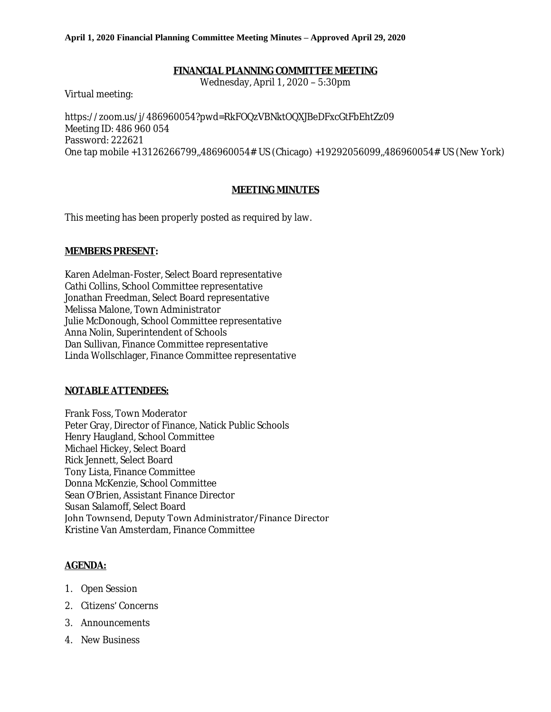## **FINANCIAL PLANNING COMMITTEE MEETING**

Wednesday, April 1, 2020 – 5:30pm

Virtual meeting:

[https://zoom.us/j/486960054?pwd=RkFOQzVBNktOQXJBeDFxcGtFbEhtZz09](https://www.google.com/url?q=https%3A%2F%2Fzoom.us%2Fj%2F486960054%3Fpwd%3DRkFOQzVBNktOQXJBeDFxcGtFbEhtZz09&sa=D&ust=1586107942661000&usg=AFQjCNEtMp2Xi6AozadY8dbiJQnKodrP-A) Meeting ID: 486 960 054 Password: 222621 One tap mobile +13126266799,,486960054# US (Chicago) +19292056099,,486960054# US (New York)

## **MEETING MINUTES**

This meeting has been properly posted as required by law.

## **MEMBERS PRESENT:**

Karen Adelman-Foster, Select Board representative Cathi Collins, School Committee representative Jonathan Freedman, Select Board representative Melissa Malone, Town Administrator Julie McDonough, School Committee representative Anna Nolin, Superintendent of Schools Dan Sullivan, Finance Committee representative Linda Wollschlager, Finance Committee representative

## **NOTABLE ATTENDEES:**

Frank Foss, Town Moderator Peter Gray, Director of Finance, Natick Public Schools Henry Haugland, School Committee Michael Hickey, Select Board Rick Jennett, Select Board Tony Lista, Finance Committee Donna McKenzie, School Committee Sean O'Brien, Assistant Finance Director Susan Salamoff, Select Board John Townsend, Deputy Town Administrator/Finance Director Kristine Van Amsterdam, Finance Committee

## **AGENDA:**

- 1. Open Session
- 2. Citizens' Concerns
- 3. Announcements
- 4. New Business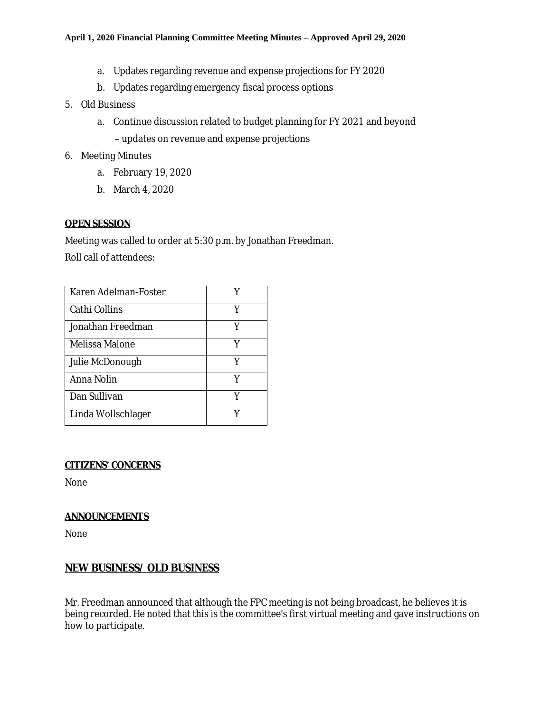- a. Updates regarding revenue and expense projections for FY 2020
- b. Updates regarding emergency fiscal process options
- 5. Old Business
	- a. Continue discussion related to budget planning for FY 2021 and beyond – updates on revenue and expense projections
- 6. Meeting Minutes
	- a. February 19, 2020
	- b. March 4, 2020

## **OPEN SESSION**

Meeting was called to order at 5:30 p.m. by Jonathan Freedman. Roll call of attendees:

| Karen Adelman-Foster |   |
|----------------------|---|
| Cathi Collins        | Y |
| Jonathan Freedman    | Y |
| Melissa Malone       | Y |
| Julie McDonough      | Y |
| Anna Nolin           | v |
| Dan Sullivan         | V |
| Linda Wollschlager   |   |

## **CITIZENS' CONCERNS**

None

## **ANNOUNCEMENTS**

None

## **NEW BUSINESS/ OLD BUSINESS**

Mr. Freedman announced that although the FPC meeting is not being broadcast, he believes it is being recorded. He noted that this is the committee's first virtual meeting and gave instructions on how to participate.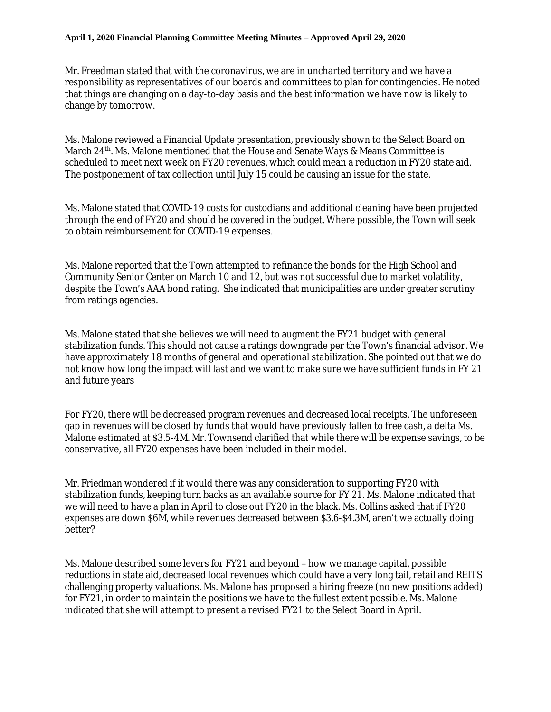Mr. Freedman stated that with the coronavirus, we are in uncharted territory and we have a responsibility as representatives of our boards and committees to plan for contingencies. He noted that things are changing on a day-to-day basis and the best information we have now is likely to change by tomorrow.

Ms. Malone reviewed a Financial Update presentation, previously shown to the Select Board on March 24<sup>th</sup>. Ms. Malone mentioned that the House and Senate Ways & Means Committee is scheduled to meet next week on FY20 revenues, which could mean a reduction in FY20 state aid. The postponement of tax collection until July 15 could be causing an issue for the state.

Ms. Malone stated that COVID-19 costs for custodians and additional cleaning have been projected through the end of FY20 and should be covered in the budget. Where possible, the Town will seek to obtain reimbursement for COVID-19 expenses.

Ms. Malone reported that the Town attempted to refinance the bonds for the High School and Community Senior Center on March 10 and 12, but was not successful due to market volatility, despite the Town's AAA bond rating. She indicated that municipalities are under greater scrutiny from ratings agencies.

Ms. Malone stated that she believes we will need to augment the FY21 budget with general stabilization funds. This should not cause a ratings downgrade per the Town's financial advisor. We have approximately 18 months of general and operational stabilization. She pointed out that we do not know how long the impact will last and we want to make sure we have sufficient funds in FY 21 and future years

For FY20, there will be decreased program revenues and decreased local receipts. The unforeseen gap in revenues will be closed by funds that would have previously fallen to free cash, a delta Ms. Malone estimated at \$3.5-4M. Mr. Townsend clarified that while there will be expense savings, to be conservative, all FY20 expenses have been included in their model.

Mr. Friedman wondered if it would there was any consideration to supporting FY20 with stabilization funds, keeping turn backs as an available source for FY 21. Ms. Malone indicated that we will need to have a plan in April to close out FY20 in the black. Ms. Collins asked that if FY20 expenses are down \$6M, while revenues decreased between \$3.6-\$4.3M, aren't we actually doing better?

Ms. Malone described some levers for FY21 and beyond – how we manage capital, possible reductions in state aid, decreased local revenues which could have a very long tail, retail and REITS challenging property valuations. Ms. Malone has proposed a hiring freeze (no new positions added) for FY21, in order to maintain the positions we have to the fullest extent possible. Ms. Malone indicated that she will attempt to present a revised FY21 to the Select Board in April.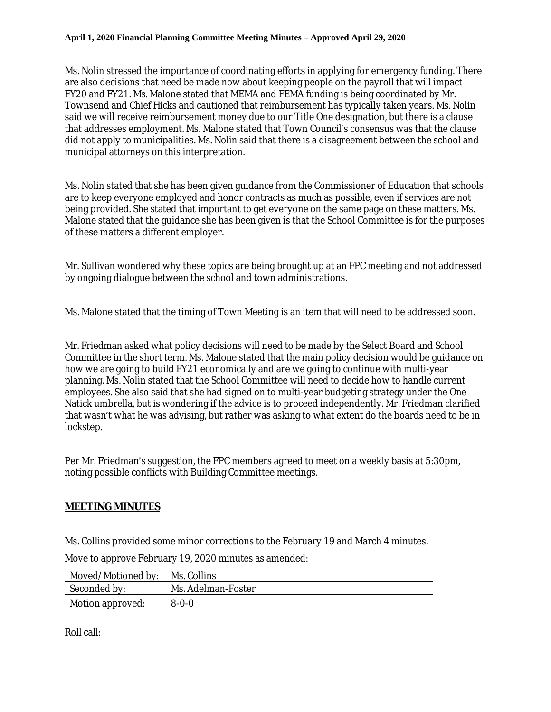Ms. Nolin stressed the importance of coordinating efforts in applying for emergency funding. There are also decisions that need be made now about keeping people on the payroll that will impact FY20 and FY21. Ms. Malone stated that MEMA and FEMA funding is being coordinated by Mr. Townsend and Chief Hicks and cautioned that reimbursement has typically taken years. Ms. Nolin said we will receive reimbursement money due to our Title One designation, but there is a clause that addresses employment. Ms. Malone stated that Town Council's consensus was that the clause did not apply to municipalities. Ms. Nolin said that there is a disagreement between the school and municipal attorneys on this interpretation.

Ms. Nolin stated that she has been given guidance from the Commissioner of Education that schools are to keep everyone employed and honor contracts as much as possible, even if services are not being provided. She stated that important to get everyone on the same page on these matters. Ms. Malone stated that the guidance she has been given is that the School Committee is for the purposes of these matters a different employer.

Mr. Sullivan wondered why these topics are being brought up at an FPC meeting and not addressed by ongoing dialogue between the school and town administrations.

Ms. Malone stated that the timing of Town Meeting is an item that will need to be addressed soon.

Mr. Friedman asked what policy decisions will need to be made by the Select Board and School Committee in the short term. Ms. Malone stated that the main policy decision would be guidance on how we are going to build FY21 economically and are we going to continue with multi-year planning. Ms. Nolin stated that the School Committee will need to decide how to handle current employees. She also said that she had signed on to multi-year budgeting strategy under the One Natick umbrella, but is wondering if the advice is to proceed independently. Mr. Friedman clarified that wasn't what he was advising, but rather was asking to what extent do the boards need to be in lockstep.

Per Mr. Friedman's suggestion, the FPC members agreed to meet on a weekly basis at 5:30pm, noting possible conflicts with Building Committee meetings.

# **MEETING MINUTES**

Ms. Collins provided some minor corrections to the February 19 and March 4 minutes.

Move to approve February 19, 2020 minutes as amended:

| Moved/Motioned by:   Ms. Collins |                    |
|----------------------------------|--------------------|
| Seconded by:                     | Ms. Adelman-Foster |
| Motion approved:                 | $8 - 0 - 0$        |

Roll call: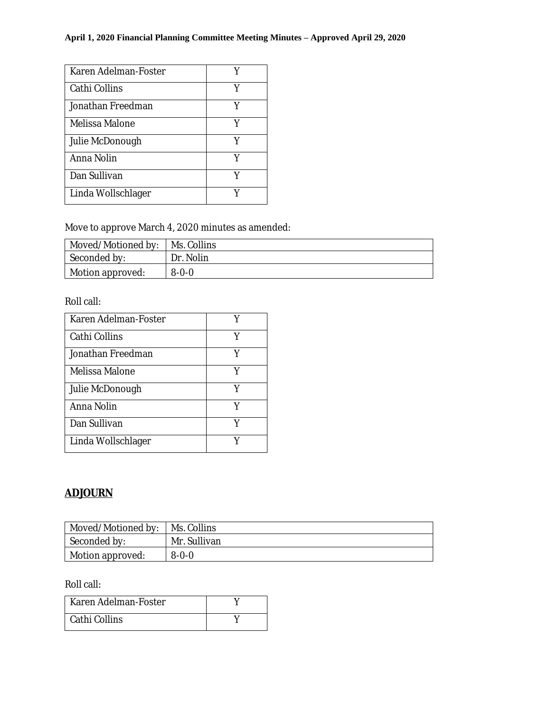| Karen Adelman-Foster |   |
|----------------------|---|
| Cathi Collins        | Y |
| Jonathan Freedman    | Y |
| Melissa Malone       | Y |
| Julie McDonough      | Y |
| Anna Nolin           | Y |
| Dan Sullivan         |   |
| Linda Wollschlager   |   |

Move to approve March 4, 2020 minutes as amended:

| Moved/Motioned by: | Ms. Collins |
|--------------------|-------------|
| Seconded by:       | Dr. Nolin   |
| Motion approved:   | $8 - 0 - 0$ |

Roll call:

| Karen Adelman-Foster |   |
|----------------------|---|
| Cathi Collins        | v |
| Jonathan Freedman    |   |
| Melissa Malone       | Y |
| Julie McDonough      | v |
| Anna Nolin           |   |
| Dan Sullivan         | Y |
| Linda Wollschlager   |   |

# **ADJOURN**

| Moved/Motioned by:           | Ms. Collins  |
|------------------------------|--------------|
| Seconded by:                 | Mr. Sullivan |
| $\parallel$ Motion approved: | $8 - 0 - 0$  |

Roll call:

| Karen Adelman-Foster |  |
|----------------------|--|
| Cathi Collins        |  |